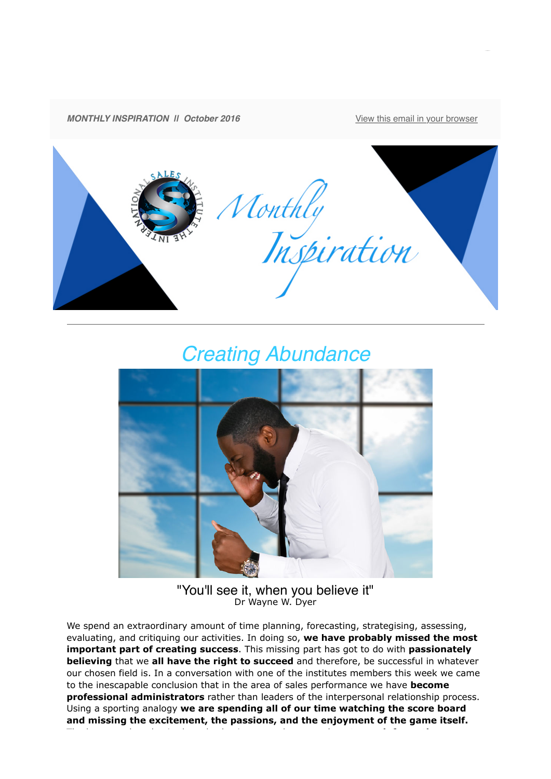

# *Creating Abundance*



"You'll see it, when you believe it" Dr Wayne W. Dyer

We spend an extraordinary amount of time planning, forecasting, strategising, assessing, evaluating, and critiquing our activities. In doing so, **we have probably missed the most important part of creating success**. This missing part has got to do with **passionately believing** that we **all have the right to succeed** and therefore, be successful in whatever our chosen field is. In a conversation with one of the institutes members this week we came to the inescapable conclusion that in the area of sales performance we have **become professional administrators** rather than leaders of the interpersonal relationship process. Using a sporting analogy **we are spending all of our time watching the score board and missing the excitement, the passions, and the enjoyment of the game itself.**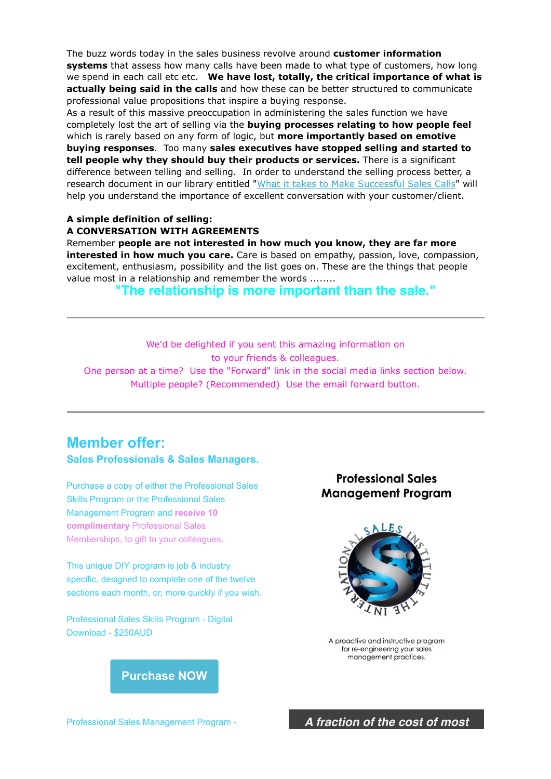The buzz words today in the sales business revolve around **customer information systems** that assess how many calls have been made to what type of customers, how long we spend in each call etc etc. **We have lost, totally, the critical importance of what is actually being said in the calls** and how these can be better structured to communicate professional value propositions that inspire a buying response.

As a result of this massive preoccupation in administering the sales function we have completely lost the art of selling via the **buying processes relating to how people feel** which is rarely based on any form of logic, but **more importantly based on emotive buying responses**. Too many **sales executives have stopped selling and started to tell people why they should buy their products or services.** There is a significant difference between telling and selling. In order to understand the selling process better, a research document in our library entitled ["What it takes to Make Successful Sales Calls](http://theinternationalsalesinstitute.us11.list-manage.com/track/click?u=933b80e7a2e18bb216f31e81e&id=fe5a9ce9f0&e=dbf1c93ab8)" will help you understand the importance of excellent conversation with your customer/client.

#### **A simple definition of selling: A CONVERSATION WITH AGREEMENTS**

Remember **people are not interested in how much you know, they are far more interested in how much you care.** Care is based on empathy, passion, love, compassion, excitement, enthusiasm, possibility and the list goes on. These are the things that people value most in a relationship and remember the words ........

#### **"The relationship is more important than the sale."**

We'd be delighted if you sent this amazing information on to your friends & colleagues. One person at a time? Use the "Forward" link in the social media links section below. Multiple people? (Recommended) Use the email forward button.

## **Member offer:**

**Sales Professionals & Sales Managers.**

Purchase a copy of either the Professional Sales Skills Program or the Professional Sales Management Program and **receive 10 complimentary** Professional Sales Memberships, to gift to your colleagues.

This unique DIY program is job & industry specific, designed to complete one of the twelve sections each month, or, more quickly if you wish.

Professional Sales Skills Program - Digital Download - \$250AUD

### **Professional Sales Management Program**



A proactive and instructive program for re-engineering your sales management practices.



*A fraction of the cost of most*

Professional Sales Management Program -